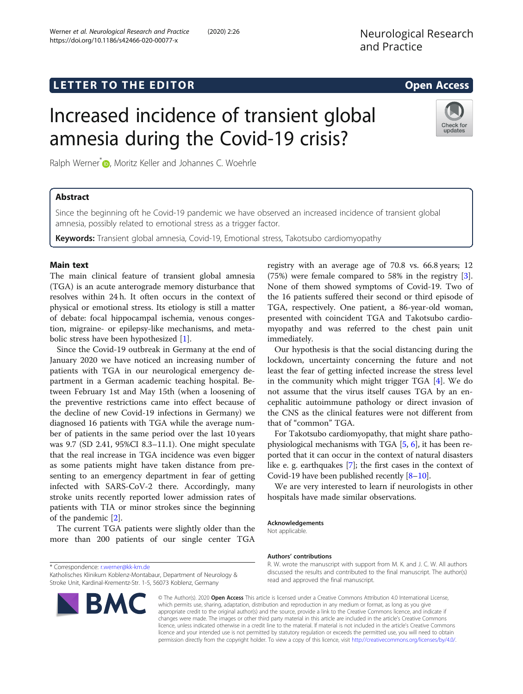https://doi.org/10.1186/s42466-020-00077-x

Werner et al. Neurological Research and Practice (2020) 2:26

## **LETTER TO THE EDITOR CONSIDERING ACCESS**

Check for updates

# Increased incidence of transient global amnesia during the Covid-19 crisis?

Ralph Werner<sup>[\\*](http://orcid.org/0000-0003-2216-3954)</sup> **D**, Moritz Keller and Johannes C. Woehrle

### Abstract

Since the beginning oft he Covid-19 pandemic we have observed an increased incidence of transient global amnesia, possibly related to emotional stress as a trigger factor.

Keywords: Transient global amnesia, Covid-19, Emotional stress, Takotsubo cardiomyopathy

#### Main text

The main clinical feature of transient global amnesia (TGA) is an acute anterograde memory disturbance that resolves within 24 h. It often occurs in the context of physical or emotional stress. Its etiology is still a matter of debate: focal hippocampal ischemia, venous congestion, migraine- or epilepsy-like mechanisms, and metabolic stress have been hypothesized [[1\]](#page-1-0).

Since the Covid-19 outbreak in Germany at the end of January 2020 we have noticed an increasing number of patients with TGA in our neurological emergency department in a German academic teaching hospital. Between February 1st and May 15th (when a loosening of the preventive restrictions came into effect because of the decline of new Covid-19 infections in Germany) we diagnosed 16 patients with TGA while the average number of patients in the same period over the last 10 years was 9.7 (SD 2.41, 95%CI 8.3–11.1). One might speculate that the real increase in TGA incidence was even bigger as some patients might have taken distance from presenting to an emergency department in fear of getting infected with SARS-CoV-2 there. Accordingly, many stroke units recently reported lower admission rates of patients with TIA or minor strokes since the beginning of the pandemic [\[2](#page-1-0)].

The current TGA patients were slightly older than the more than 200 patients of our single center TGA

Katholisches Klinikum Koblenz-Montabaur, Department of Neurology & Stroke Unit, Kardinal-Krementz-Str. 1-5, 56073 Koblenz, Germany



registry with an average age of 70.8 vs. 66.8 years; 12 (75%) were female compared to 58% in the registry [\[3](#page-1-0)]. None of them showed symptoms of Covid-19. Two of the 16 patients suffered their second or third episode of TGA, respectively. One patient, a 86-year-old woman, presented with coincident TGA and Takotsubo cardiomyopathy and was referred to the chest pain unit immediately.

Our hypothesis is that the social distancing during the lockdown, uncertainty concerning the future and not least the fear of getting infected increase the stress level in the community which might trigger TGA [[4](#page-1-0)]. We do not assume that the virus itself causes TGA by an encephalitic autoimmune pathology or direct invasion of the CNS as the clinical features were not different from that of "common" TGA.

For Takotsubo cardiomyopathy, that might share pathophysiological mechanisms with TGA [\[5](#page-1-0), [6\]](#page-1-0), it has been reported that it can occur in the context of natural disasters like e. g. earthquakes [\[7\]](#page-1-0); the first cases in the context of Covid-19 have been published recently [\[8](#page-1-0)–[10\]](#page-1-0).

We are very interested to learn if neurologists in other hospitals have made similar observations.

#### Acknowledgements

Not applicable.

#### Authors' contributions

R. W. wrote the manuscript with support from M. K. and J. C. W. All authors discussed the results and contributed to the final manuscript. The author(s) read and approved the final manuscript.

© The Author(s). 2020 Open Access This article is licensed under a Creative Commons Attribution 4.0 International License, which permits use, sharing, adaptation, distribution and reproduction in any medium or format, as long as you give appropriate credit to the original author(s) and the source, provide a link to the Creative Commons licence, and indicate if changes were made. The images or other third party material in this article are included in the article's Creative Commons licence, unless indicated otherwise in a credit line to the material. If material is not included in the article's Creative Commons licence and your intended use is not permitted by statutory regulation or exceeds the permitted use, you will need to obtain permission directly from the copyright holder. To view a copy of this licence, visit [http://creativecommons.org/licenses/by/4.0/.](http://creativecommons.org/licenses/by/4.0/)

<sup>\*</sup> Correspondence: [r.werner@kk-km.de](mailto:r.werner@kk-km.de)